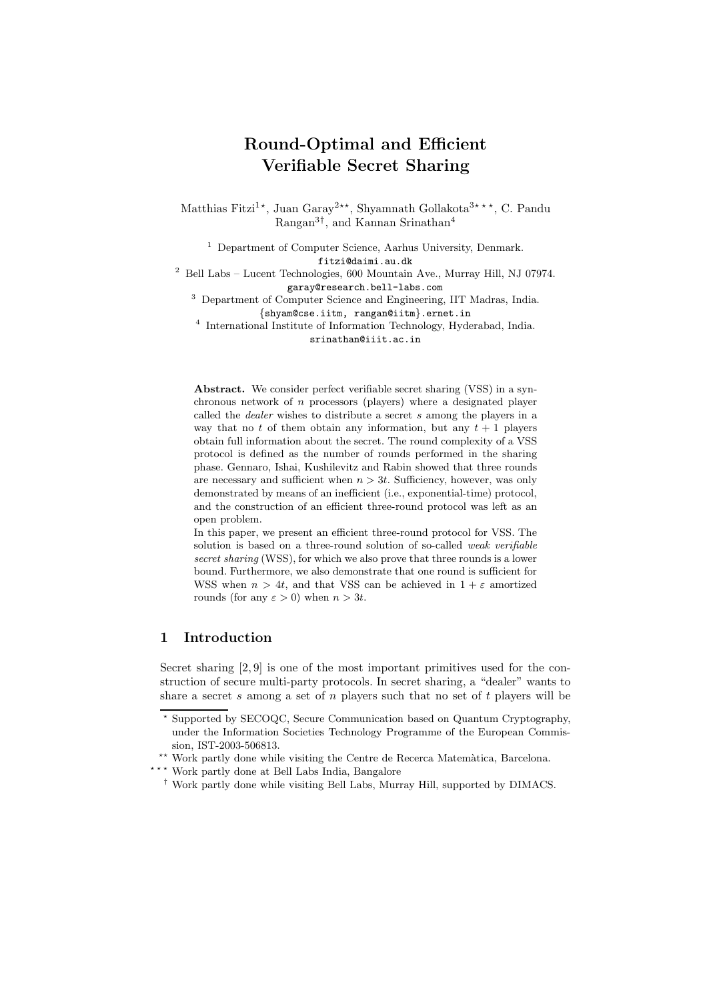# Round-Optimal and Efficient Verifiable Secret Sharing

Matthias Fitzi<sup>1\*</sup>, Juan Garay<sup>2\*\*</sup>, Shyamnath Gollakota<sup>3\*\*\*</sup>, C. Pandu Rangan3† , and Kannan Srinathan<sup>4</sup>

<sup>1</sup> Department of Computer Science, Aarhus University, Denmark.

fitzi@daimi.au.dk

 $^{2}$  Bell Labs – Lucent Technologies, 600 Mountain Ave., Murray Hill, NJ 07974. garay@research.bell-labs.com

<sup>3</sup> Department of Computer Science and Engineering, IIT Madras, India. {shyam@cse.iitm, rangan@iitm}.ernet.in

4 International Institute of Information Technology, Hyderabad, India. srinathan@iiit.ac.in

Abstract. We consider perfect verifiable secret sharing (VSS) in a synchronous network of n processors (players) where a designated player called the dealer wishes to distribute a secret s among the players in a way that no t of them obtain any information, but any  $t + 1$  players obtain full information about the secret. The round complexity of a VSS protocol is defined as the number of rounds performed in the sharing phase. Gennaro, Ishai, Kushilevitz and Rabin showed that three rounds are necessary and sufficient when  $n > 3t$ . Sufficiency, however, was only demonstrated by means of an inefficient (i.e., exponential-time) protocol, and the construction of an efficient three-round protocol was left as an open problem.

In this paper, we present an efficient three-round protocol for VSS. The solution is based on a three-round solution of so-called weak verifiable secret sharing (WSS), for which we also prove that three rounds is a lower bound. Furthermore, we also demonstrate that one round is sufficient for WSS when  $n > 4t$ , and that VSS can be achieved in  $1 + \varepsilon$  amortized rounds (for any  $\varepsilon > 0$ ) when  $n > 3t$ .

## 1 Introduction

Secret sharing [2, 9] is one of the most important primitives used for the construction of secure multi-party protocols. In secret sharing, a "dealer" wants to share a secret s among a set of  $n$  players such that no set of  $t$  players will be

<sup>?</sup> Supported by SECOQC, Secure Communication based on Quantum Cryptography, under the Information Societies Technology Programme of the European Commission, IST-2003-506813.

<sup>\*\*</sup> Work partly done while visiting the Centre de Recerca Matemàtica, Barcelona.

<sup>\*\*\*</sup> Work partly done at Bell Labs India, Bangalore

<sup>†</sup> Work partly done while visiting Bell Labs, Murray Hill, supported by DIMACS.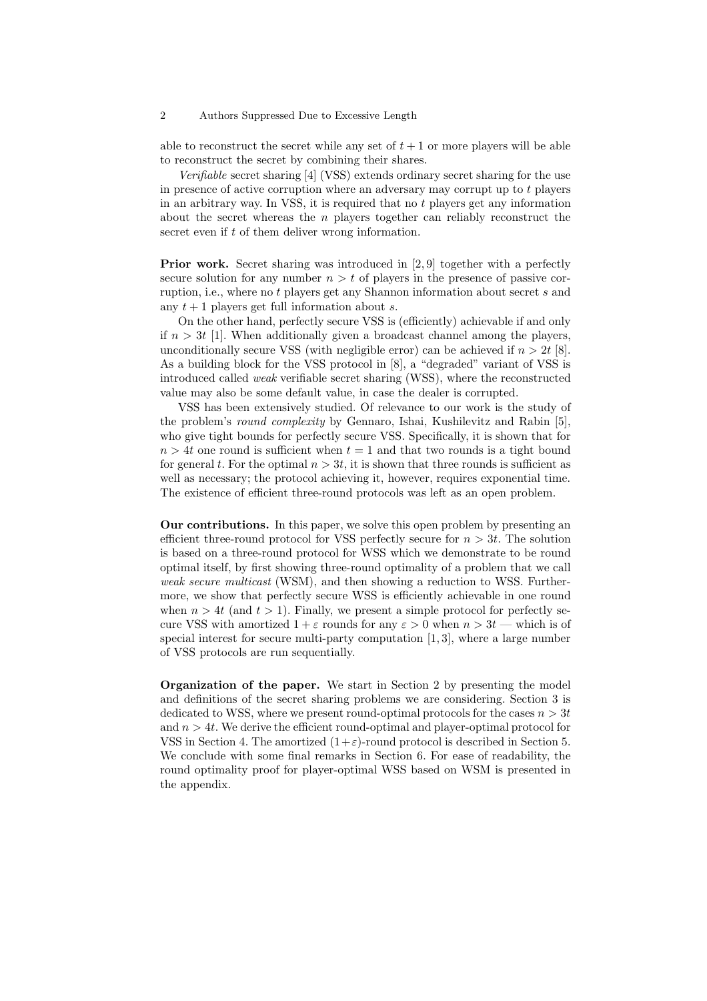#### 2 Authors Suppressed Due to Excessive Length

able to reconstruct the secret while any set of  $t + 1$  or more players will be able to reconstruct the secret by combining their shares.

Verifiable secret sharing [4] (VSS) extends ordinary secret sharing for the use in presence of active corruption where an adversary may corrupt up to  $t$  players in an arbitrary way. In VSS, it is required that no t players get any information about the secret whereas the  $n$  players together can reliably reconstruct the secret even if t of them deliver wrong information.

Prior work. Secret sharing was introduced in [2, 9] together with a perfectly secure solution for any number  $n > t$  of players in the presence of passive corruption, i.e., where no t players get any Shannon information about secret s and any  $t + 1$  players get full information about s.

On the other hand, perfectly secure VSS is (efficiently) achievable if and only if  $n > 3t$  [1]. When additionally given a broadcast channel among the players, unconditionally secure VSS (with negligible error) can be achieved if  $n > 2t$  [8]. As a building block for the VSS protocol in [8], a "degraded" variant of VSS is introduced called weak verifiable secret sharing (WSS), where the reconstructed value may also be some default value, in case the dealer is corrupted.

VSS has been extensively studied. Of relevance to our work is the study of the problem's round complexity by Gennaro, Ishai, Kushilevitz and Rabin [5], who give tight bounds for perfectly secure VSS. Specifically, it is shown that for  $n > 4t$  one round is sufficient when  $t = 1$  and that two rounds is a tight bound for general t. For the optimal  $n > 3t$ , it is shown that three rounds is sufficient as well as necessary; the protocol achieving it, however, requires exponential time. The existence of efficient three-round protocols was left as an open problem.

Our contributions. In this paper, we solve this open problem by presenting an efficient three-round protocol for VSS perfectly secure for  $n > 3t$ . The solution is based on a three-round protocol for WSS which we demonstrate to be round optimal itself, by first showing three-round optimality of a problem that we call weak secure multicast (WSM), and then showing a reduction to WSS. Furthermore, we show that perfectly secure WSS is efficiently achievable in one round when  $n > 4t$  (and  $t > 1$ ). Finally, we present a simple protocol for perfectly secure VSS with amortized  $1+\varepsilon$  rounds for any  $\varepsilon > 0$  when  $n > 3t$  — which is of special interest for secure multi-party computation  $[1,3]$ , where a large number of VSS protocols are run sequentially.

Organization of the paper. We start in Section 2 by presenting the model and definitions of the secret sharing problems we are considering. Section 3 is dedicated to WSS, where we present round-optimal protocols for the cases  $n > 3t$ and  $n > 4t$ . We derive the efficient round-optimal and player-optimal protocol for VSS in Section 4. The amortized  $(1+\varepsilon)$ -round protocol is described in Section 5. We conclude with some final remarks in Section 6. For ease of readability, the round optimality proof for player-optimal WSS based on WSM is presented in the appendix.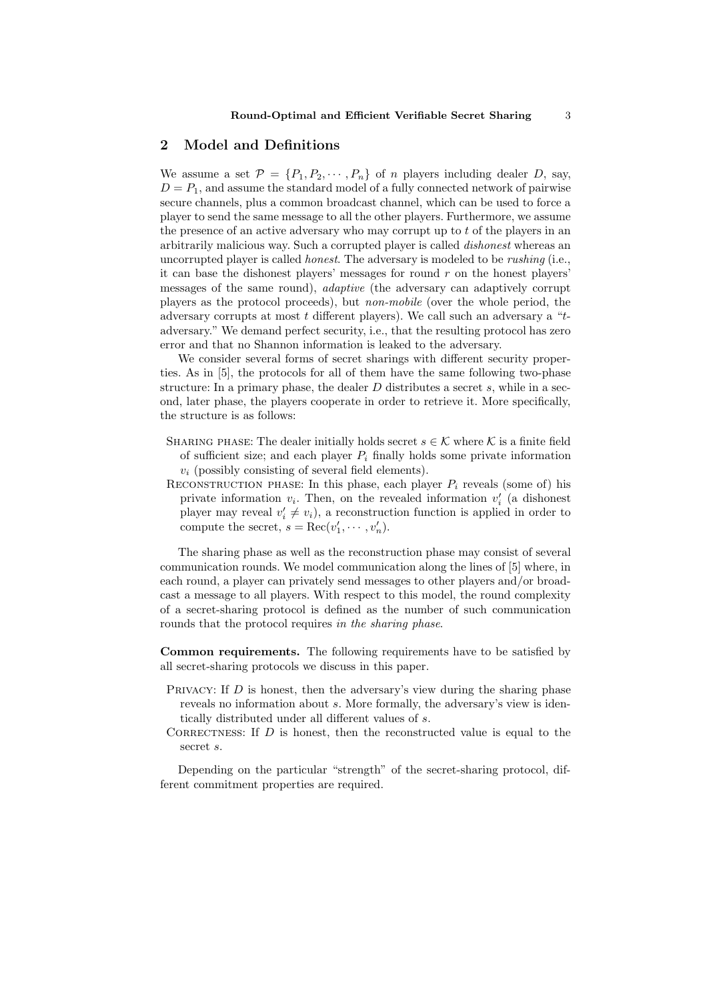## 2 Model and Definitions

We assume a set  $\mathcal{P} = \{P_1, P_2, \cdots, P_n\}$  of *n* players including dealer *D*, say,  $D = P_1$ , and assume the standard model of a fully connected network of pairwise secure channels, plus a common broadcast channel, which can be used to force a player to send the same message to all the other players. Furthermore, we assume the presence of an active adversary who may corrupt up to t of the players in an arbitrarily malicious way. Such a corrupted player is called dishonest whereas an uncorrupted player is called *honest*. The adversary is modeled to be *rushing* (i.e., it can base the dishonest players' messages for round  $r$  on the honest players' messages of the same round), adaptive (the adversary can adaptively corrupt players as the protocol proceeds), but non-mobile (over the whole period, the adversary corrupts at most  $t$  different players). We call such an adversary a " $t$ adversary." We demand perfect security, i.e., that the resulting protocol has zero error and that no Shannon information is leaked to the adversary.

We consider several forms of secret sharings with different security properties. As in [5], the protocols for all of them have the same following two-phase structure: In a primary phase, the dealer  $D$  distributes a secret  $s$ , while in a second, later phase, the players cooperate in order to retrieve it. More specifically, the structure is as follows:

- SHARING PHASE: The dealer initially holds secret  $s \in \mathcal{K}$  where  $\mathcal{K}$  is a finite field of sufficient size; and each player  $P_i$  finally holds some private information  $v_i$  (possibly consisting of several field elements).
- RECONSTRUCTION PHASE: In this phase, each player  $P_i$  reveals (some of) his private information  $v_i$ . Then, on the revealed information  $v'_i$  (a dishonest player may reveal  $v'_i \neq v_i$ , a reconstruction function is applied in order to compute the secret,  $s = \text{Rec}(v'_1, \dots, v'_n)$ .

The sharing phase as well as the reconstruction phase may consist of several communication rounds. We model communication along the lines of [5] where, in each round, a player can privately send messages to other players and/or broadcast a message to all players. With respect to this model, the round complexity of a secret-sharing protocol is defined as the number of such communication rounds that the protocol requires in the sharing phase.

Common requirements. The following requirements have to be satisfied by all secret-sharing protocols we discuss in this paper.

- Privacy: If D is honest, then the adversary's view during the sharing phase reveals no information about s. More formally, the adversary's view is identically distributed under all different values of s.
- CORRECTNESS: If  $D$  is honest, then the reconstructed value is equal to the secret s.

Depending on the particular "strength" of the secret-sharing protocol, different commitment properties are required.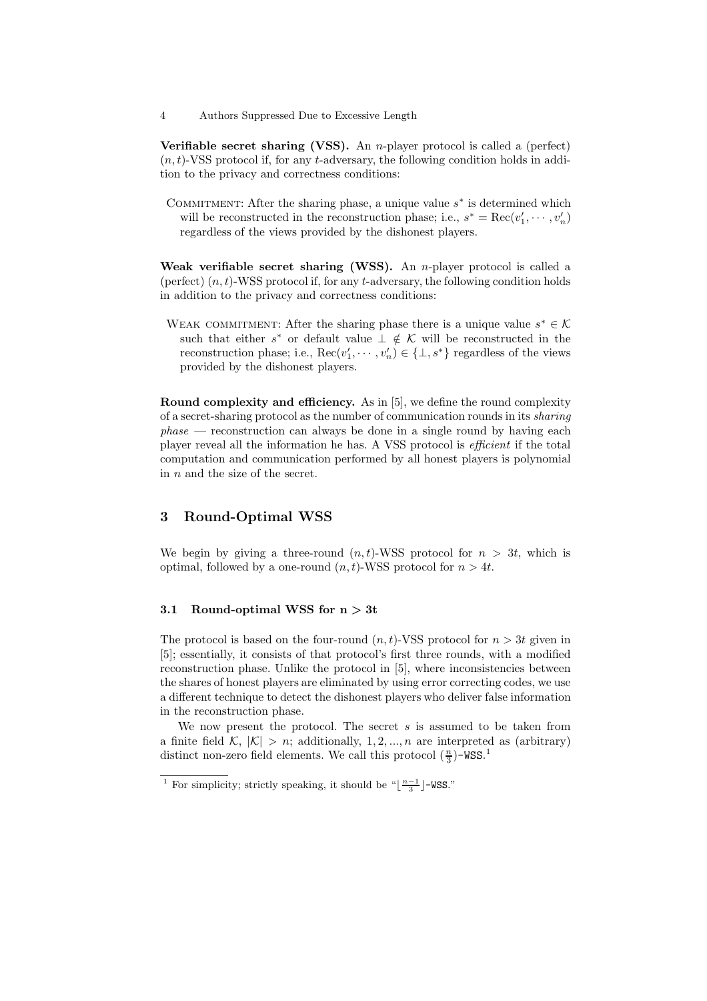4 Authors Suppressed Due to Excessive Length

**Verifiable secret sharing (VSS).** An *n*-player protocol is called a (perfect)  $(n,t)$ -VSS protocol if, for any t-adversary, the following condition holds in addition to the privacy and correctness conditions:

COMMITMENT: After the sharing phase, a unique value  $s^*$  is determined which will be reconstructed in the reconstruction phase; i.e.,  $s^* = \text{Rec}(v'_1, \dots, v'_n)$ regardless of the views provided by the dishonest players.

Weak verifiable secret sharing (WSS). An *n*-player protocol is called a (perfect)  $(n, t)$ -WSS protocol if, for any  $t$ -adversary, the following condition holds in addition to the privacy and correctness conditions:

WEAK COMMITMENT: After the sharing phase there is a unique value  $s^* \in \mathcal{K}$ such that either  $s^*$  or default value  $\perp \notin \mathcal{K}$  will be reconstructed in the reconstruction phase; i.e.,  $\text{Rec}(v'_1, \dots, v'_n) \in \{\perp, s^*\}$  regardless of the views provided by the dishonest players.

Round complexity and efficiency. As in [5], we define the round complexity of a secret-sharing protocol as the number of communication rounds in its sharing  $phase$  — reconstruction can always be done in a single round by having each player reveal all the information he has. A VSS protocol is efficient if the total computation and communication performed by all honest players is polynomial in  $n$  and the size of the secret.

## 3 Round-Optimal WSS

We begin by giving a three-round  $(n,t)$ -WSS protocol for  $n > 3t$ , which is optimal, followed by a one-round  $(n,t)$ -WSS protocol for  $n > 4t$ .

#### 3.1 Round-optimal WSS for  $n > 3t$

The protocol is based on the four-round  $(n,t)$ -VSS protocol for  $n > 3t$  given in [5]; essentially, it consists of that protocol's first three rounds, with a modified reconstruction phase. Unlike the protocol in [5], where inconsistencies between the shares of honest players are eliminated by using error correcting codes, we use a different technique to detect the dishonest players who deliver false information in the reconstruction phase.

We now present the protocol. The secret  $s$  is assumed to be taken from a finite field  $\mathcal{K}, |\mathcal{K}| > n$ ; additionally, 1, 2, ..., n are interpreted as (arbitrary) distinct non-zero field elements. We call this protocol  $(\frac{n}{3})$ -WSS.<sup>1</sup>

<sup>&</sup>lt;sup>1</sup> For simplicity; strictly speaking, it should be " $\lfloor \frac{n-1}{3} \rfloor$ -WSS."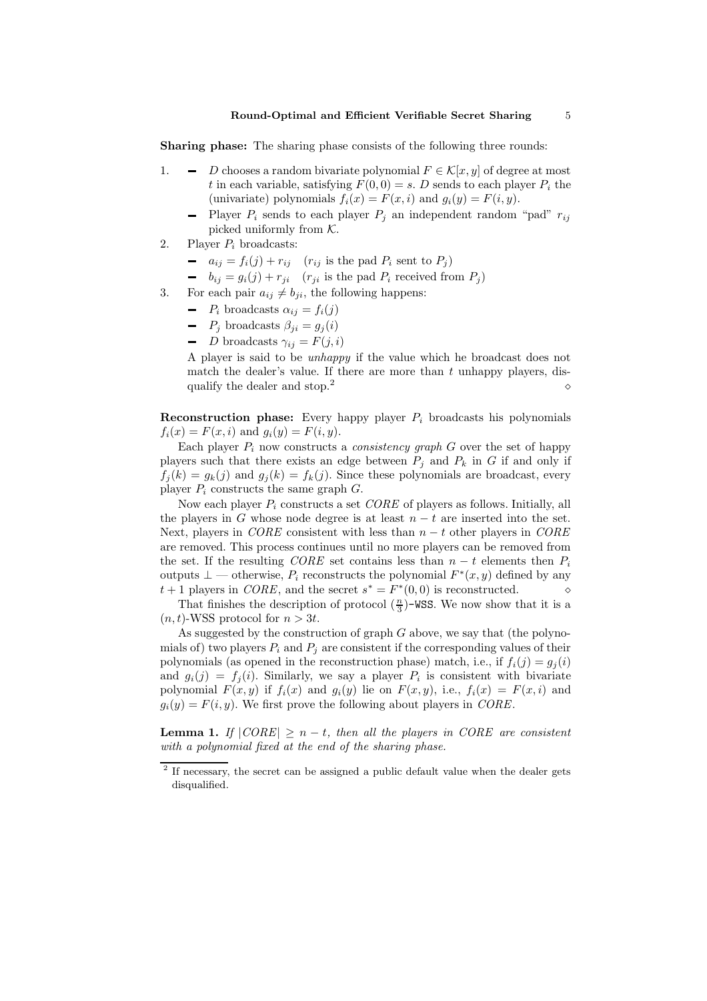Sharing phase: The sharing phase consists of the following three rounds:

- 1.  $\blacksquare$  D chooses a random bivariate polynomial  $F \in \mathcal{K}[x, y]$  of degree at most t in each variable, satisfying  $F(0, 0) = s$ . D sends to each player  $P_i$  the (univariate) polynomials  $f_i(x) = F(x, i)$  and  $g_i(y) = F(i, y)$ .
	- Player  $P_i$  sends to each player  $P_i$  an independent random "pad"  $r_{ij}$ picked uniformly from  $K$ .
- 2. Player  $P_i$  broadcasts:
	- $a_{ij} = f_i(j) + r_{ij}$  ( $r_{ij}$  is the pad  $P_i$  sent to  $P_j$ )
	- $b_{ij} = g_i(j) + r_{ji}$  ( $r_{ji}$  is the pad  $P_i$  received from  $P_j$ )
- 3. For each pair  $a_{ij} \neq b_{ji}$ , the following happens:
	- $-P_i$  broadcasts  $\alpha_{ij} = f_i(i)$
	- $-P_j$  broadcasts  $\beta_{ji} = g_j(i)$
	- D broadcasts  $\gamma_{ij} = F(j,i)$

A player is said to be unhappy if the value which he broadcast does not match the dealer's value. If there are more than  $t$  unhappy players, disqualify the dealer and stop.<sup>2</sup>

**Reconstruction phase:** Every happy player  $P_i$  broadcasts his polynomials  $f_i(x) = F(x, i)$  and  $g_i(y) = F(i, y)$ .

Each player  $P_i$  now constructs a *consistency graph* G over the set of happy players such that there exists an edge between  $P_j$  and  $P_k$  in G if and only if  $f_i(k) = g_k(j)$  and  $g_i(k) = f_k(j)$ . Since these polynomials are broadcast, every player  $P_i$  constructs the same graph  $G$ .

Now each player  $P_i$  constructs a set  $CORE$  of players as follows. Initially, all the players in G whose node degree is at least  $n - t$  are inserted into the set. Next, players in CORE consistent with less than  $n - t$  other players in CORE are removed. This process continues until no more players can be removed from the set. If the resulting CORE set contains less than  $n - t$  elements then  $P_i$ outputs  $\perp$  — otherwise,  $P_i$  reconstructs the polynomial  $F^*(x, y)$  defined by any  $t + 1$  players in *CORE*, and the secret  $s^* = F^*(0,0)$  is reconstructed.  $\diamond$ 

That finishes the description of protocol  $(\frac{n}{3})$ -WSS. We now show that it is a  $(n,t)$ -WSS protocol for  $n > 3t$ .

As suggested by the construction of graph  $G$  above, we say that (the polynomials of) two players  $P_i$  and  $P_j$  are consistent if the corresponding values of their polynomials (as opened in the reconstruction phase) match, i.e., if  $f_i(j) = g_j(i)$ and  $g_i(j) = f_j(i)$ . Similarly, we say a player  $P_i$  is consistent with bivariate polynomial  $F(x, y)$  if  $f_i(x)$  and  $g_i(y)$  lie on  $F(x, y)$ , i.e.,  $f_i(x) = F(x, i)$  and  $g_i(y) = F(i, y)$ . We first prove the following about players in *CORE*.

**Lemma 1.** If  $|CORE| \geq n - t$ , then all the players in CORE are consistent with a polynomial fixed at the end of the sharing phase.

<sup>&</sup>lt;sup>2</sup> If necessary, the secret can be assigned a public default value when the dealer gets disqualified.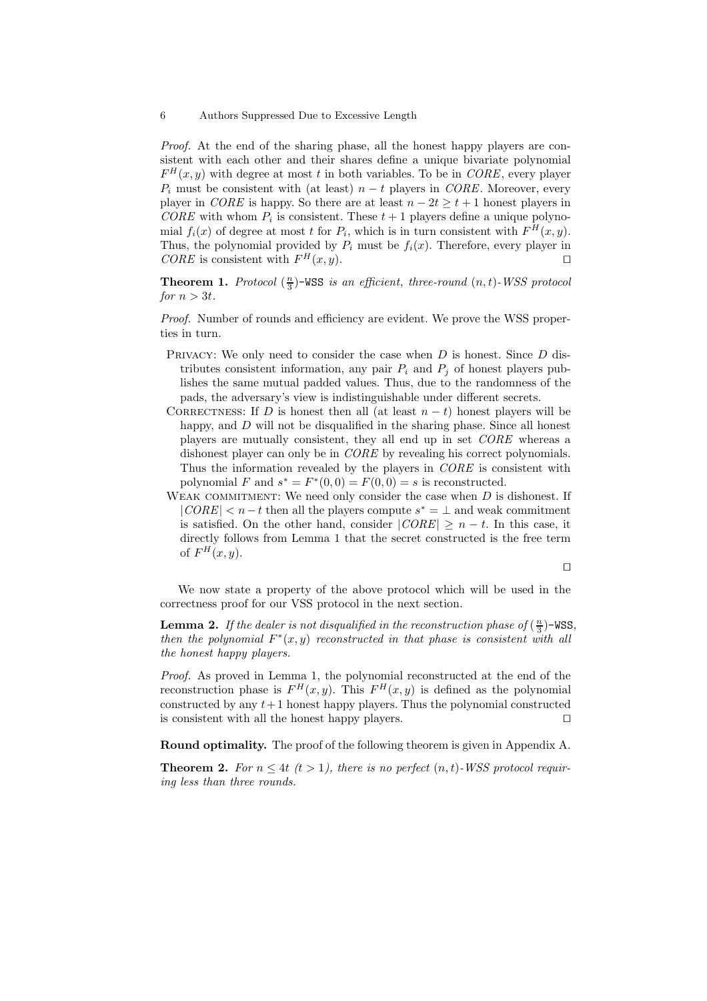Proof. At the end of the sharing phase, all the honest happy players are consistent with each other and their shares define a unique bivariate polynomial  $F^{H}(x, y)$  with degree at most t in both variables. To be in CORE, every player  $P_i$  must be consistent with (at least)  $n - t$  players in CORE. Moreover, every player in *CORE* is happy. So there are at least  $n - 2t > t + 1$  honest players in  $CORE$  with whom  $P_i$  is consistent. These  $t + 1$  players define a unique polynomial  $f_i(x)$  of degree at most t for  $P_i$ , which is in turn consistent with  $F^H(x, y)$ . Thus, the polynomial provided by  $P_i$  must be  $f_i(x)$ . Therefore, every player in CORE is consistent with  $F^H(x, y)$ .

**Theorem 1.** Protocol  $(\frac{n}{3})$ -WSS is an efficient, three-round  $(n,t)$ -WSS protocol for  $n > 3t$ .

Proof. Number of rounds and efficiency are evident. We prove the WSS properties in turn.

- Privacy: We only need to consider the case when D is honest. Since D distributes consistent information, any pair  $P_i$  and  $P_j$  of honest players publishes the same mutual padded values. Thus, due to the randomness of the pads, the adversary's view is indistinguishable under different secrets.
- CORRECTNESS: If D is honest then all (at least  $n t$ ) honest players will be happy, and D will not be disqualified in the sharing phase. Since all honest players are mutually consistent, they all end up in set CORE whereas a dishonest player can only be in CORE by revealing his correct polynomials. Thus the information revealed by the players in CORE is consistent with polynomial F and  $s^* = F^*(0,0) = F(0,0) = s$  is reconstructed.
- WEAK COMMITMENT: We need only consider the case when  $D$  is dishonest. If  $|CORE| < n-t$  then all the players compute  $s^* = \perp$  and weak commitment is satisfied. On the other hand, consider  $|CORE| \ge n - t$ . In this case, it directly follows from Lemma 1 that the secret constructed is the free term of  $F^H(x, y)$ .

 $\Box$ 

We now state a property of the above protocol which will be used in the correctness proof for our VSS protocol in the next section.

**Lemma 2.** If the dealer is not disqualified in the reconstruction phase of  $(\frac{n}{3})$ -WSS, then the polynomial  $F^*(x, y)$  reconstructed in that phase is consistent with all the honest happy players.

Proof. As proved in Lemma 1, the polynomial reconstructed at the end of the reconstruction phase is  $F^H(x, y)$ . This  $F^H(x, y)$  is defined as the polynomial constructed by any  $t+1$  honest happy players. Thus the polynomial constructed is consistent with all the honest happy players.  $\square$ 

Round optimality. The proof of the following theorem is given in Appendix A.

**Theorem 2.** For  $n \leq 4t$   $(t > 1)$ , there is no perfect  $(n, t)$ -WSS protocol requiring less than three rounds.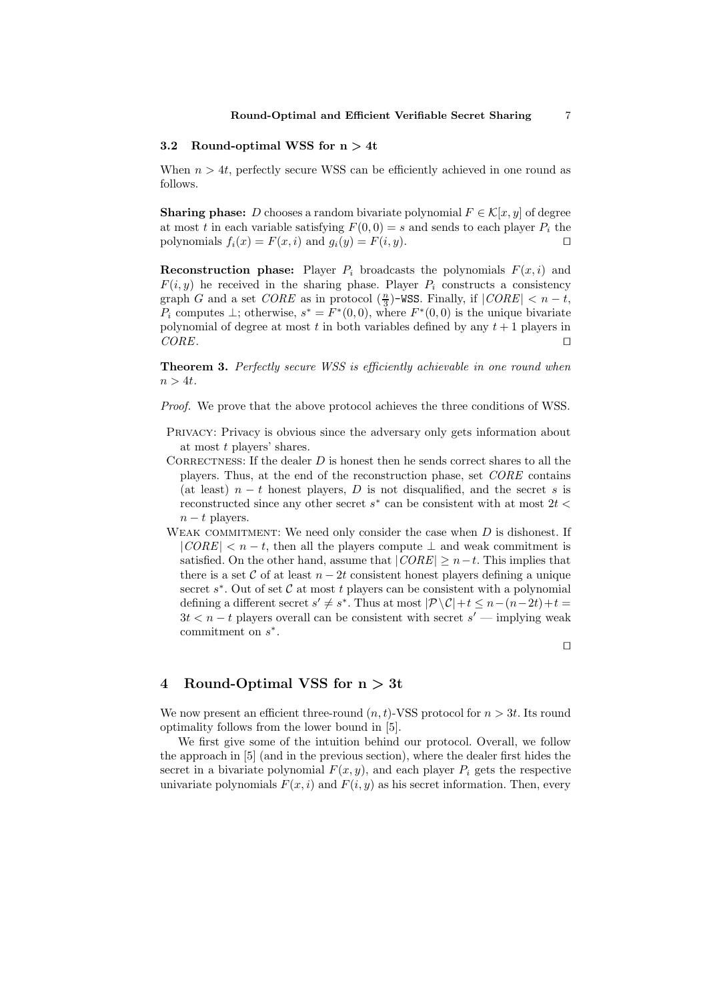#### 3.2 Round-optimal WSS for  $n > 4t$

When  $n > 4t$ , perfectly secure WSS can be efficiently achieved in one round as follows.

**Sharing phase:** D chooses a random bivariate polynomial  $F \in \mathcal{K}[x, y]$  of degree at most t in each variable satisfying  $F(0, 0) = s$  and sends to each player  $P_i$  the polynomials  $f_i(x) = F(x, i)$  and  $q_i(y) = F(i, y)$ .

**Reconstruction phase:** Player  $P_i$  broadcasts the polynomials  $F(x, i)$  and  $F(i, y)$  he received in the sharing phase. Player  $P_i$  constructs a consistency graph G and a set CORE as in protocol  $(\frac{n}{3})$ -WSS. Finally, if  $|CORE| < n - t$ ,  $P_i$  computes  $\perp$ ; otherwise,  $s^* = F^*(0,0)$ , where  $F^*(0,0)$  is the unique bivariate polynomial of degree at most t in both variables defined by any  $t + 1$  players in  $CORE$ .

Theorem 3. Perfectly secure WSS is efficiently achievable in one round when  $n > 4t$ .

Proof. We prove that the above protocol achieves the three conditions of WSS.

- Privacy: Privacy is obvious since the adversary only gets information about at most t players' shares.
- CORRECTNESS: If the dealer  $D$  is honest then he sends correct shares to all the players. Thus, at the end of the reconstruction phase, set CORE contains (at least)  $n - t$  honest players, D is not disqualified, and the secret s is reconstructed since any other secret  $s^*$  can be consistent with at most  $2t$  <  $n - t$  players.
- WEAK COMMITMENT: We need only consider the case when  $D$  is dishonest. If  $|CORE| < n - t$ , then all the players compute  $\perp$  and weak commitment is satisfied. On the other hand, assume that  $|CORE| \ge n-t$ . This implies that there is a set  $\mathcal C$  of at least  $n - 2t$  consistent honest players defining a unique secret  $s^*$ . Out of set  $\mathcal C$  at most  $t$  players can be consistent with a polynomial defining a different secret  $s' \neq s^*$ . Thus at most  $|\mathcal{P} \setminus \mathcal{C}|+t \leq n-(n-2t)+t$  $3t < n-t$  players overall can be consistent with secret  $s'$  — implying weak commitment on  $s^*$ .

 $\Box$ 

#### 4 Round-Optimal VSS for  $n > 3t$

We now present an efficient three-round  $(n,t)$ -VSS protocol for  $n > 3t$ . Its round optimality follows from the lower bound in [5].

We first give some of the intuition behind our protocol. Overall, we follow the approach in [5] (and in the previous section), where the dealer first hides the secret in a bivariate polynomial  $F(x, y)$ , and each player  $P_i$  gets the respective univariate polynomials  $F(x, i)$  and  $F(i, y)$  as his secret information. Then, every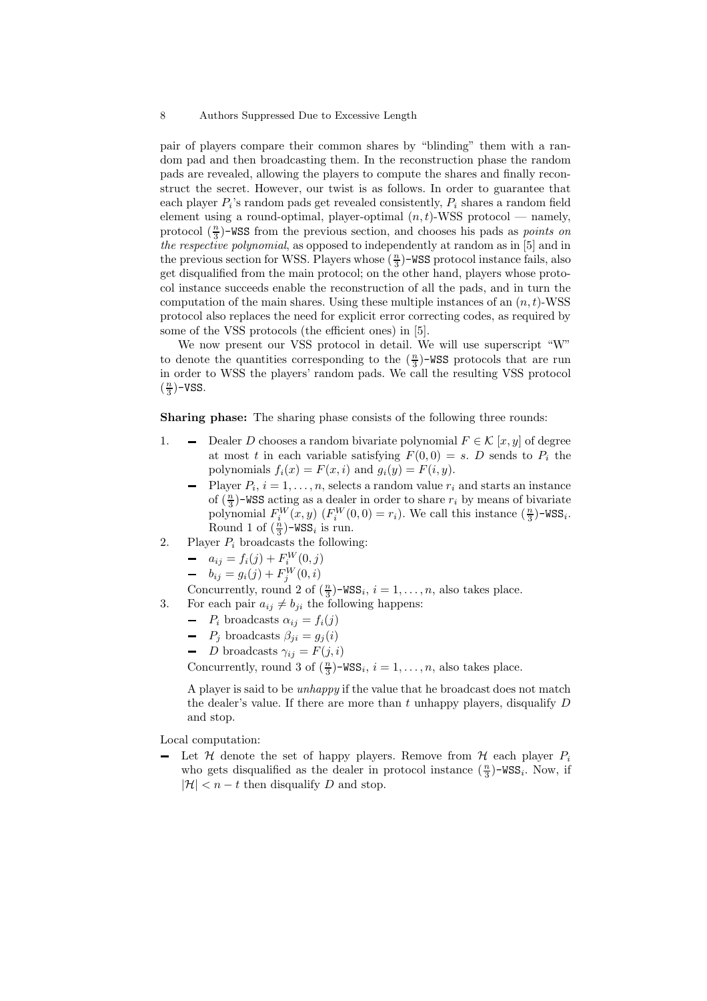pair of players compare their common shares by "blinding" them with a random pad and then broadcasting them. In the reconstruction phase the random pads are revealed, allowing the players to compute the shares and finally reconstruct the secret. However, our twist is as follows. In order to guarantee that each player  $P_i$ 's random pads get revealed consistently,  $P_i$  shares a random field element using a round-optimal, player-optimal  $(n, t)$ -WSS protocol — namely, protocol  $(\frac{n}{3})$ -WSS from the previous section, and chooses his pads as *points on* the respective polynomial, as opposed to independently at random as in [5] and in the previous section for WSS. Players whose  $(\frac{n}{3})$ -WSS protocol instance fails, also get disqualified from the main protocol; on the other hand, players whose protocol instance succeeds enable the reconstruction of all the pads, and in turn the computation of the main shares. Using these multiple instances of an  $(n, t)$ -WSS protocol also replaces the need for explicit error correcting codes, as required by some of the VSS protocols (the efficient ones) in [5].

We now present our VSS protocol in detail. We will use superscript "W" to denote the quantities corresponding to the  $(\frac{n}{3})$ -WSS protocols that are run in order to WSS the players' random pads. We call the resulting VSS protocol  $\left(\frac{n}{3}\right)$ -VSS.

Sharing phase: The sharing phase consists of the following three rounds:

- 1.  $\blacksquare$  Dealer D chooses a random bivariate polynomial  $F \in \mathcal{K} [x, y]$  of degree at most t in each variable satisfying  $F(0, 0) = s$ . D sends to  $P_i$  the polynomials  $f_i(x) = F(x, i)$  and  $g_i(y) = F(i, y)$ .
	- Player  $P_i$ ,  $i = 1, \ldots, n$ , selects a random value  $r_i$  and starts an instance of  $\left(\frac{n}{3}\right)$ -WSS acting as a dealer in order to share  $r_i$  by means of bivariate polynomial  $F_i^W(x, y)$   $(F_i^W(0, 0) = r_i)$ . We call this instance  $(\frac{n}{3})$ -WSS<sub>i</sub>. Round 1 of  $(\frac{n}{3})$ -WSS<sub>i</sub> is run.
- 2. Player  $P_i$  broadcasts the following:
	- $a_{ij} = f_i(j) + F_i^W(0, j)$
	- $b_{ij} = g_i(j) + F_j^W(0, i)$

Concurrently, round 2 of  $(\frac{n}{3})$ -WSS<sub>i</sub>,  $i = 1, ..., n$ , also takes place.

- 3. For each pair  $a_{ij} \neq b_{ji}$  the following happens:
	- $P_i$  broadcasts  $\alpha_{ij} = f_i(j)$
	- $-P_j$  broadcasts  $\beta_{ji} = g_j(i)$
	- *D* broadcasts  $\gamma_{ij} = F(j,i)$

Concurrently, round 3 of  $(\frac{n}{3})$ -WSS<sub>i</sub>,  $i = 1, ..., n$ , also takes place.

A player is said to be unhappy if the value that he broadcast does not match the dealer's value. If there are more than t unhappy players, disqualify  $D$ and stop.

Local computation:

- Let  $H$  denote the set of happy players. Remove from  $H$  each player  $P_i$ who gets disqualified as the dealer in protocol instance  $(\frac{n}{3})$ -WSS<sub>i</sub>. Now, if  $|\mathcal{H}| < n - t$  then disqualify D and stop.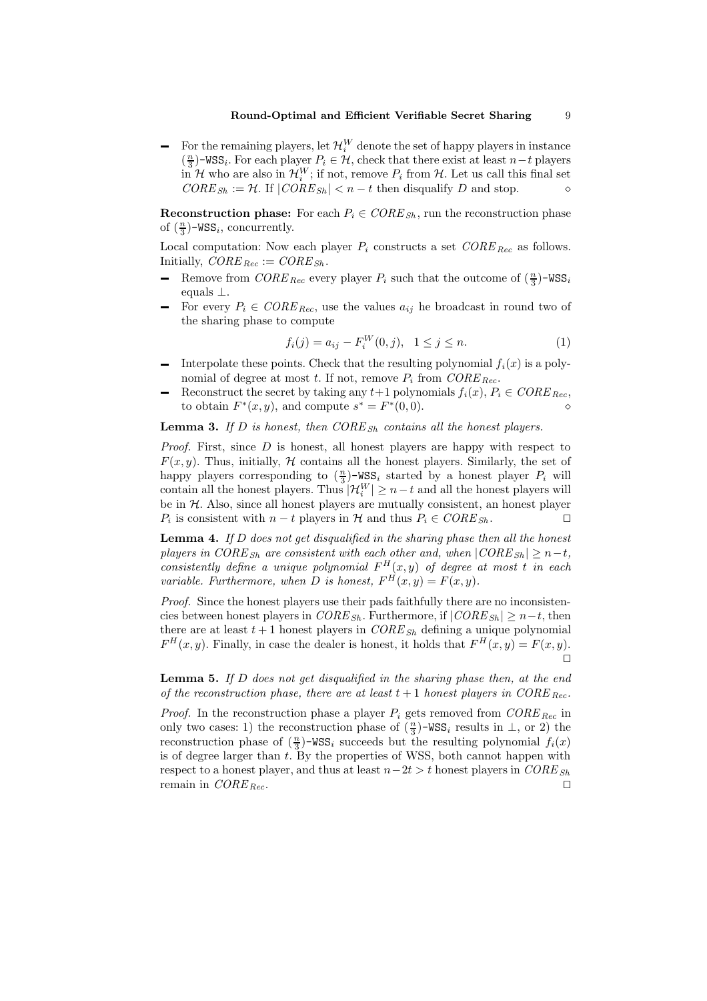For the remaining players, let  $\mathcal{H}_i^W$  denote the set of happy players in instance  $\left(\frac{n}{3}\right)$ -WSS<sub>i</sub>. For each player  $P_i \in \mathcal{H}$ , check that there exist at least n−t players in H who are also in  $\mathcal{H}_i^W$ ; if not, remove  $P_i$  from H. Let us call this final set  $CORE_{Sh} := \mathcal{H}$ . If  $|CORE_{Sh}| < n - t$  then disqualify D and stop.

**Reconstruction phase:** For each  $P_i \in \text{CORE}_{\text{Sh}}$ , run the reconstruction phase of  $(\frac{n}{3})$ -WSS<sub>i</sub>, concurrently.

Local computation: Now each player  $P_i$  constructs a set  $CORE_{Rec}$  as follows. Initially,  $CORE_{Rec} := CORE_{Sh}$ .

- Remove from  $CORE_{Rec}$  every player  $P_i$  such that the outcome of  $(\frac{n}{3})$ -WSS<sub>i</sub> equals ⊥.
- For every  $P_i \in \text{CORE}_{\text{Rec}}$ , use the values  $a_{ij}$  he broadcast in round two of the sharing phase to compute

$$
f_i(j) = a_{ij} - F_i^W(0, j), \quad 1 \le j \le n.
$$
 (1)

- Interpolate these points. Check that the resulting polynomial  $f_i(x)$  is a polynomial of degree at most t. If not, remove  $P_i$  from  $CORE_{Rec}$ .
- Reconstruct the secret by taking any  $t+1$  polynomials  $f_i(x)$ ,  $P_i \in \mathit{CORE}_{\mathit{Rec}}$ , to obtain  $F^*(x, y)$ , and compute  $s^* = F^*(0, 0)$ .

**Lemma 3.** If D is honest, then  $CORE_{Sh}$  contains all the honest players.

*Proof.* First, since  $D$  is honest, all honest players are happy with respect to  $F(x, y)$ . Thus, initially, H contains all the honest players. Similarly, the set of happy players corresponding to  $(\frac{n}{3})$ -WSS<sub>i</sub> started by a honest player  $P_i$  will contain all the honest players. Thus  $|\mathcal{H}_i^W| \ge n-t$  and all the honest players will be in  $H$ . Also, since all honest players are mutually consistent, an honest player  $P_i$  is consistent with  $n - t$  players in  $H$  and thus  $P_i \in \text{CORE}_{\text{Sh}}$ .  $\Box$ 

**Lemma 4.** If  $D$  does not get disqualified in the sharing phase then all the honest players in CORE<sub>Sh</sub> are consistent with each other and, when  $|CORE_{Sh}| \geq n-t$ , consistently define a unique polynomial  $F^H(x, y)$  of degree at most t in each variable. Furthermore, when D is honest,  $F^H(x, y) = F(x, y)$ .

Proof. Since the honest players use their pads faithfully there are no inconsistencies between honest players in  $CORE_{Sh}$ . Furthermore, if  $|CORE_{Sh}| \geq n-t$ , then there are at least  $t + 1$  honest players in  $CORE_{Sh}$  defining a unique polynomial  $F^H(x, y)$ . Finally, in case the dealer is honest, it holds that  $F^H(x, y) = F(x, y)$ .  $\Box$ 

**Lemma 5.** If D does not get disqualified in the sharing phase then, at the end of the reconstruction phase, there are at least  $t + 1$  honest players in CORE Rec.

*Proof.* In the reconstruction phase a player  $P_i$  gets removed from  $CORE_{Rec}$  in only two cases: 1) the reconstruction phase of  $(\frac{n}{3})$ -WSS<sub>i</sub> results in  $\perp$ , or 2) the reconstruction phase of  $(\frac{n}{3})$ -WSS<sub>i</sub> succeeds but the resulting polynomial  $f_i(x)$ is of degree larger than  $t$ . By the properties of WSS, both cannot happen with respect to a honest player, and thus at least  $n-2t > t$  honest players in CORE<sub>Sh</sub> remain in  $CORE_{Rec}$ .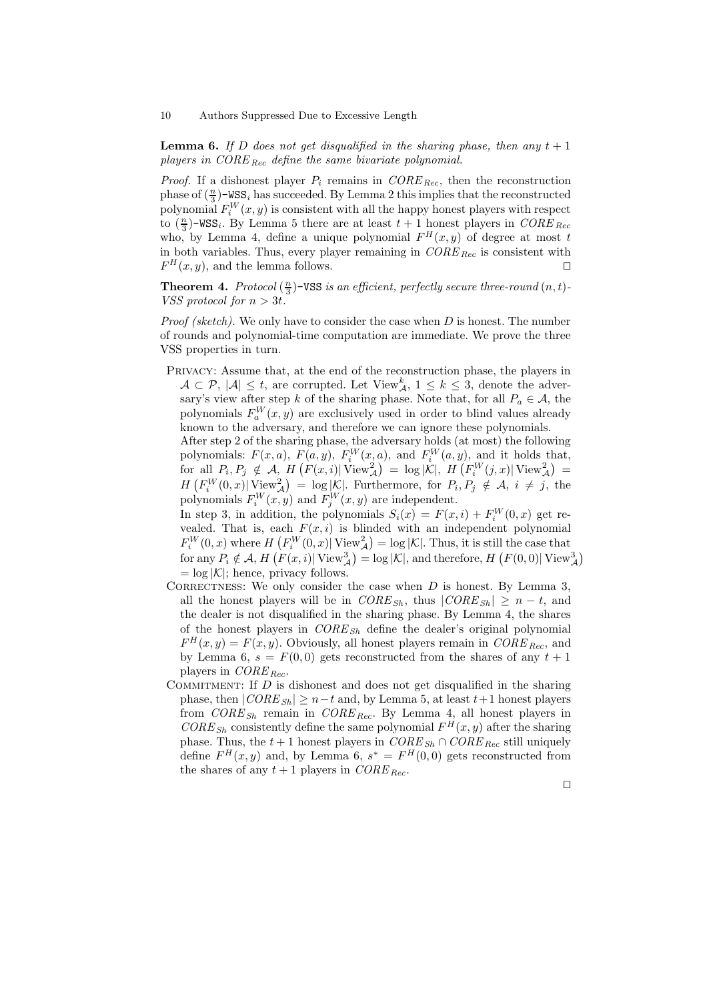10 Authors Suppressed Due to Excessive Length

**Lemma 6.** If D does not get disqualified in the sharing phase, then any  $t + 1$ players in  $CORE_{Rec}$  define the same bivariate polynomial.

*Proof.* If a dishonest player  $P_i$  remains in  $CORE_{Rec}$ , then the reconstruction phase of  $(\frac{n}{3})$ -WSS<sub>i</sub> has succeeded. By Lemma 2 this implies that the reconstructed polynomial  $F_i^W(x, y)$  is consistent with all the happy honest players with respect to  $(\frac{n}{3})$ -WSS<sub>i</sub>. By Lemma 5 there are at least  $t + 1$  honest players in CORE <sub>Rec</sub> who, by Lemma 4, define a unique polynomial  $F^H(x, y)$  of degree at most t in both variables. Thus, every player remaining in  $CORE_{Rec}$  is consistent with  $F^H(x, y)$ , and the lemma follows.

**Theorem 4.** Protocol  $(\frac{n}{3})$ -VSS is an efficient, perfectly secure three-round  $(n, t)$ -VSS protocol for  $n > 3t$ .

*Proof (sketch)*. We only have to consider the case when  $D$  is honest. The number of rounds and polynomial-time computation are immediate. We prove the three VSS properties in turn.

Privacy: Assume that, at the end of the reconstruction phase, the players in  $A \subset \mathcal{P}, |\mathcal{A}| \leq t$ , are corrupted. Let View<sup>k</sup><sub>A</sub>,  $1 \leq k \leq 3$ , denote the adversary's view after step k of the sharing phase. Note that, for all  $P_a \in \mathcal{A}$ , the polynomials  $F_a^W(x, y)$  are exclusively used in order to blind values already known to the adversary, and therefore we can ignore these polynomials.

After step 2 of the sharing phase, the adversary holds (at most) the following polynomials:  $F(x, a)$ ,  $F(a, y)$ ,  $F_i^W(x, a)$ , and  $F_i^W(a, y)$ , and it holds that, for all  $P_i, P_j \notin \mathcal{A}, H(\overline{F(x,i)} | \overline{\text{View}}_{\mathcal{A}}^2) = \log |\mathcal{K}|, H(\overline{F_i^W(j,x)} | \overline{\text{View}}_{\mathcal{A}}^2) =$  $H\left(F_i^W(0,x)\middle|\right.\mathrm{View}^2_{\mathcal{A}}\right) = \log|\mathcal{K}|.$  Furthermore, for  $P_i, P_j \notin \mathcal{A}, i \neq j$ , the polynomials  $F_i^W(x, y)$  and  $F_j^W(x, y)$  are independent.

In step 3, in addition, the polynomials  $S_i(x) = F(x, i) + F_i^W(0, x)$  get revealed. That is, each  $F(x, i)$  is blinded with an independent polynomial  $F_i^W(0,x)$  where  $H\left(F_i^W(0,x)\right|$  View $_A^2$  = log |K|. Thus, it is still the case that for any  $P_i \notin \mathcal{A}$ ,  $H\left(F(x,i) | \text{View}_{\mathcal{A}}^3\right) = \log |\mathcal{K}|$ , and therefore,  $H\left(F(0,0) | \text{View}_{\mathcal{A}}^3\right)$  $=$  log  $|K|$ ; hence, privacy follows.

- CORRECTNESS: We only consider the case when  $D$  is honest. By Lemma 3, all the honest players will be in  $CORE_{Sh}$ , thus  $|CORE_{Sh}| \ge n - t$ , and the dealer is not disqualified in the sharing phase. By Lemma 4, the shares of the honest players in  $CORE_{Sh}$  define the dealer's original polynomial  $F^{H}(x, y) = F(x, y)$ . Obviously, all honest players remain in  $CORE_{Rec}$ , and by Lemma 6,  $s = F(0,0)$  gets reconstructed from the shares of any  $t + 1$ players in  $CORE_{Rec}$ .
- COMMITMENT: If  $D$  is dishonest and does not get disqualified in the sharing phase, then  $|CORE_{Sh}| \ge n-t$  and, by Lemma 5, at least  $t+1$  honest players from  $CORE_{Sh}$  remain in  $CORE_{Rec}$ . By Lemma 4, all honest players in  $CORE_{Sh}$  consistently define the same polynomial  $F<sup>H</sup>(x, y)$  after the sharing phase. Thus, the  $t + 1$  honest players in  $CORE_{Sh} \cap CORE_{Rec}$  still uniquely define  $F^H(x, y)$  and, by Lemma 6,  $s^* = F^H(0, 0)$  gets reconstructed from the shares of any  $t + 1$  players in  $CORE_{Rec}$ .

 $\Box$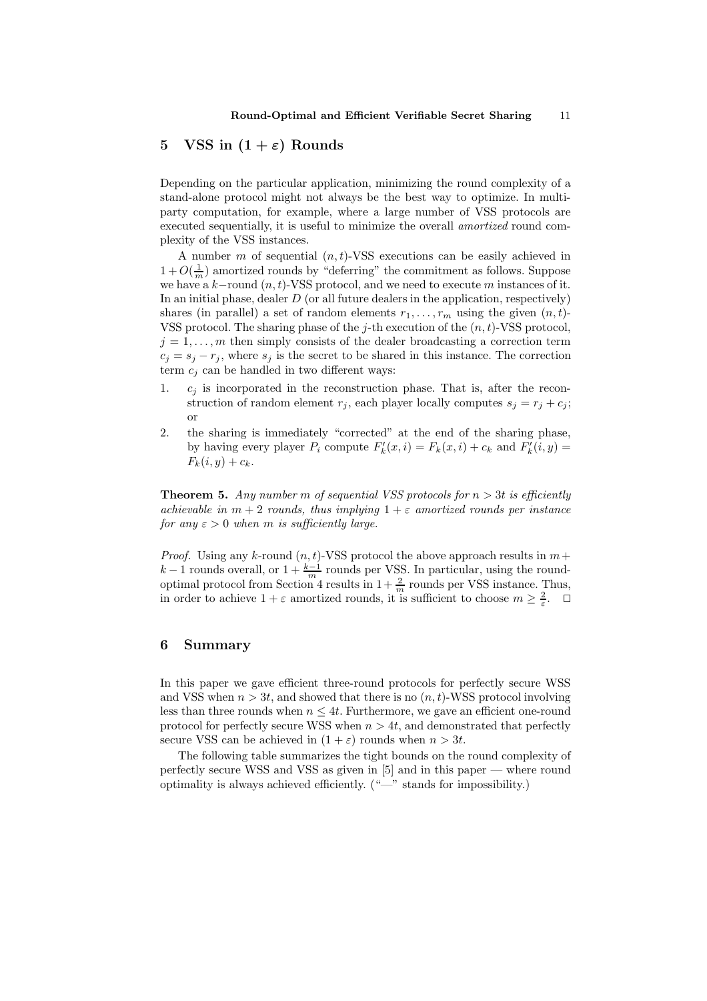# 5 VSS in  $(1 + \varepsilon)$  Rounds

Depending on the particular application, minimizing the round complexity of a stand-alone protocol might not always be the best way to optimize. In multiparty computation, for example, where a large number of VSS protocols are executed sequentially, it is useful to minimize the overall *amortized* round complexity of the VSS instances.

A number m of sequential  $(n,t)$ -VSS executions can be easily achieved in  $1 + O(\frac{1}{m})$  amortized rounds by "deferring" the commitment as follows. Suppose we have a  $k$ -round  $(n, t)$ -VSS protocol, and we need to execute m instances of it. In an initial phase, dealer  $D$  (or all future dealers in the application, respectively) shares (in parallel) a set of random elements  $r_1, \ldots, r_m$  using the given  $(n, t)$ -VSS protocol. The sharing phase of the j-th execution of the  $(n, t)$ -VSS protocol,  $j = 1, \ldots, m$  then simply consists of the dealer broadcasting a correction term  $c_j = s_j - r_j$ , where  $s_j$  is the secret to be shared in this instance. The correction term  $c_i$  can be handled in two different ways:

- 1.  $c_i$  is incorporated in the reconstruction phase. That is, after the reconstruction of random element  $r_j$ , each player locally computes  $s_j = r_j + c_j$ ; or
- 2. the sharing is immediately "corrected" at the end of the sharing phase, by having every player  $P_i$  compute  $F'_k(x, i) = F_k(x, i) + c_k$  and  $F'_k(i, y) =$  $F_k(i, y) + c_k.$

**Theorem 5.** Any number m of sequential VSS protocols for  $n > 3t$  is efficiently achievable in  $m + 2$  rounds, thus implying  $1 + \varepsilon$  amortized rounds per instance for any  $\varepsilon > 0$  when m is sufficiently large.

*Proof.* Using any k-round  $(n, t)$ -VSS protocol the above approach results in  $m +$  $k-1$  rounds overall, or  $1+\frac{k-1}{m}$  rounds per VSS. In particular, using the roundoptimal protocol from Section 4 results in  $1+\frac{2}{m}$  rounds per VSS instance. Thus, in order to achieve  $1 + \varepsilon$  amortized rounds, it is sufficient to choose  $m \geq \frac{2}{\varepsilon}$ .

# 6 Summary

In this paper we gave efficient three-round protocols for perfectly secure WSS and VSS when  $n > 3t$ , and showed that there is no  $(n, t)$ -WSS protocol involving less than three rounds when  $n \leq 4t$ . Furthermore, we gave an efficient one-round protocol for perfectly secure WSS when  $n > 4t$ , and demonstrated that perfectly secure VSS can be achieved in  $(1 + \varepsilon)$  rounds when  $n > 3t$ .

The following table summarizes the tight bounds on the round complexity of perfectly secure WSS and VSS as given in [5] and in this paper — where round optimality is always achieved efficiently. ("—" stands for impossibility.)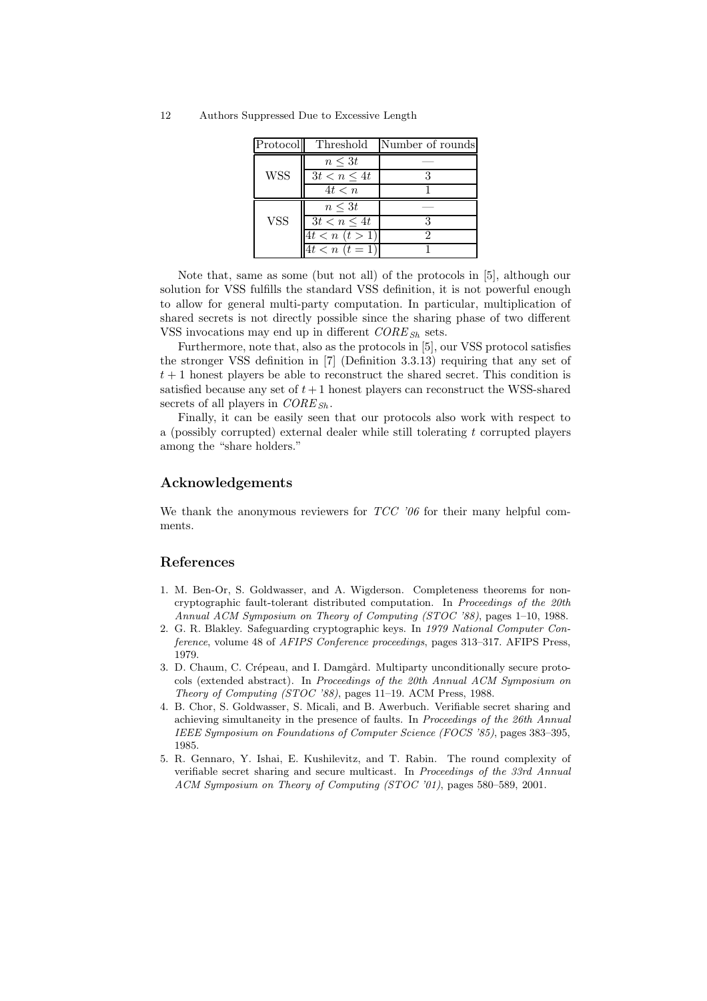12 Authors Suppressed Due to Excessive Length

| Protocol   | Threshold          | Number of rounds |
|------------|--------------------|------------------|
|            | $n \leq 3t$        |                  |
| <b>WSS</b> | $3t < n \leq 4t$   |                  |
|            | 4t < n             |                  |
|            | $n \leq 3t$        |                  |
| <b>VSS</b> | $3t < n \leq 4t$   |                  |
|            | $4t < n \ (t > 1)$ |                  |
|            | $4t < n \ (t = 1)$ |                  |

Note that, same as some (but not all) of the protocols in [5], although our solution for VSS fulfills the standard VSS definition, it is not powerful enough to allow for general multi-party computation. In particular, multiplication of shared secrets is not directly possible since the sharing phase of two different VSS invocations may end up in different  $CORE_{Sh}$  sets.

Furthermore, note that, also as the protocols in [5], our VSS protocol satisfies the stronger VSS definition in [7] (Definition 3.3.13) requiring that any set of  $t + 1$  honest players be able to reconstruct the shared secret. This condition is satisfied because any set of  $t+1$  honest players can reconstruct the WSS-shared secrets of all players in  $CORE_{Sh}$ .

Finally, it can be easily seen that our protocols also work with respect to a (possibly corrupted) external dealer while still tolerating t corrupted players among the "share holders."

### Acknowledgements

We thank the anonymous reviewers for  $TCC$  '06 for their many helpful comments.

# References

- 1. M. Ben-Or, S. Goldwasser, and A. Wigderson. Completeness theorems for noncryptographic fault-tolerant distributed computation. In Proceedings of the 20th Annual ACM Symposium on Theory of Computing (STOC '88), pages 1–10, 1988.
- 2. G. R. Blakley. Safeguarding cryptographic keys. In 1979 National Computer Conference, volume 48 of AFIPS Conference proceedings, pages 313–317. AFIPS Press, 1979.
- 3. D. Chaum, C. Crépeau, and I. Damgård. Multiparty unconditionally secure protocols (extended abstract). In Proceedings of the 20th Annual ACM Symposium on Theory of Computing (STOC '88), pages 11–19. ACM Press, 1988.
- 4. B. Chor, S. Goldwasser, S. Micali, and B. Awerbuch. Verifiable secret sharing and achieving simultaneity in the presence of faults. In Proceedings of the 26th Annual IEEE Symposium on Foundations of Computer Science (FOCS '85), pages 383–395, 1985.
- 5. R. Gennaro, Y. Ishai, E. Kushilevitz, and T. Rabin. The round complexity of verifiable secret sharing and secure multicast. In Proceedings of the 33rd Annual ACM Symposium on Theory of Computing (STOC '01), pages 580–589, 2001.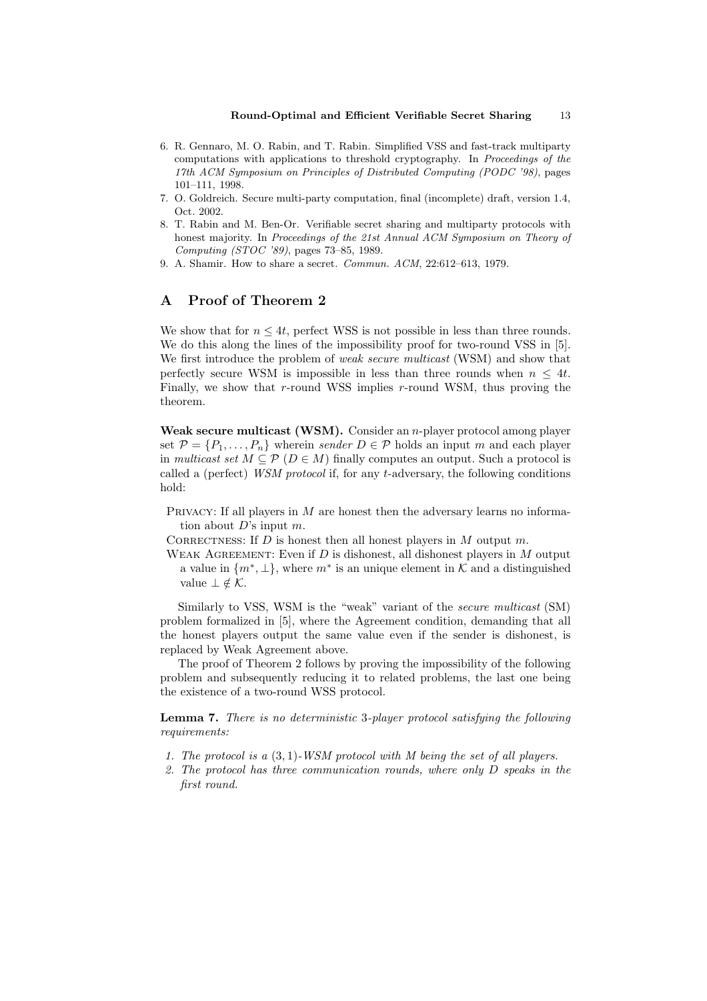- 6. R. Gennaro, M. O. Rabin, and T. Rabin. Simplified VSS and fast-track multiparty computations with applications to threshold cryptography. In Proceedings of the 17th ACM Symposium on Principles of Distributed Computing (PODC '98), pages 101–111, 1998.
- 7. O. Goldreich. Secure multi-party computation, final (incomplete) draft, version 1.4, Oct. 2002.
- 8. T. Rabin and M. Ben-Or. Verifiable secret sharing and multiparty protocols with honest majority. In Proceedings of the 21st Annual ACM Symposium on Theory of Computing (STOC '89), pages 73–85, 1989.
- 9. A. Shamir. How to share a secret. Commun. ACM, 22:612–613, 1979.

## A Proof of Theorem 2

We show that for  $n \leq 4t$ , perfect WSS is not possible in less than three rounds. We do this along the lines of the impossibility proof for two-round VSS in [5]. We first introduce the problem of *weak secure multicast* (WSM) and show that perfectly secure WSM is impossible in less than three rounds when  $n \leq 4t$ . Finally, we show that  $r$ -round WSS implies  $r$ -round WSM, thus proving the theorem.

Weak secure multicast (WSM). Consider an *n*-player protocol among player set  $\mathcal{P} = \{P_1, \ldots, P_n\}$  wherein sender  $D \in \mathcal{P}$  holds an input m and each player in multicast set  $M \subseteq \mathcal{P}$  ( $D \in M$ ) finally computes an output. Such a protocol is called a (perfect) WSM protocol if, for any t-adversary, the following conditions hold:

- PRIVACY: If all players in  $M$  are honest then the adversary learns no information about  $D$ 's input  $m$ .
- CORRECTNESS: If  $D$  is honest then all honest players in  $M$  output  $m$ .
- WEAK AGREEMENT: Even if  $D$  is dishonest, all dishonest players in  $M$  output a value in  $\{m^*, \perp\}$ , where  $m^*$  is an unique element in K and a distinguished value  $\bot \notin \mathcal{K}$ .

Similarly to VSS, WSM is the "weak" variant of the secure multicast (SM) problem formalized in [5], where the Agreement condition, demanding that all the honest players output the same value even if the sender is dishonest, is replaced by Weak Agreement above.

The proof of Theorem 2 follows by proving the impossibility of the following problem and subsequently reducing it to related problems, the last one being the existence of a two-round WSS protocol.

Lemma 7. There is no deterministic 3-player protocol satisfying the following requirements:

- 1. The protocol is a  $(3,1)$ -WSM protocol with M being the set of all players.
- 2. The protocol has three communication rounds, where only D speaks in the first round.